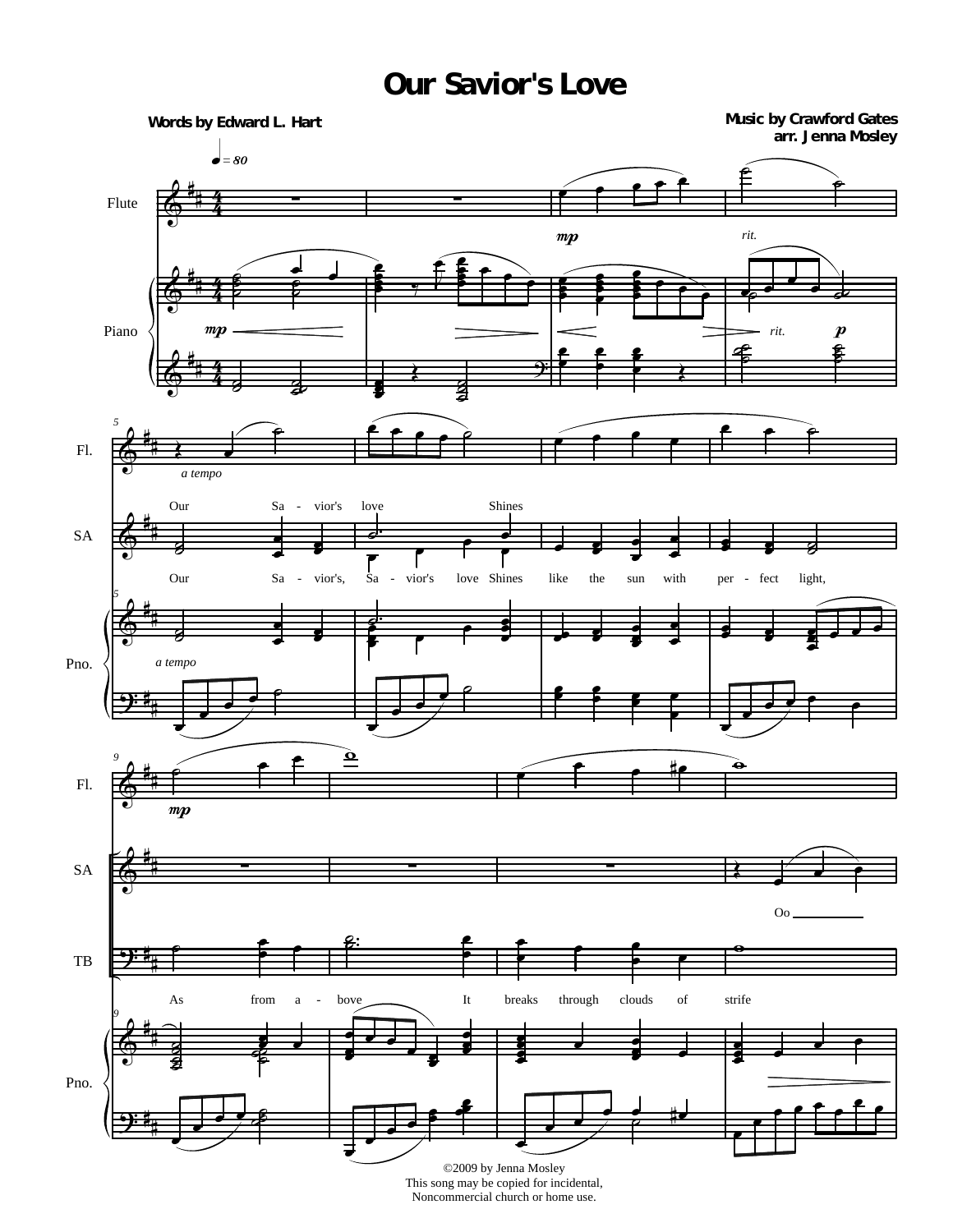## **Our Savior's Love**



Noncommercial church or home use.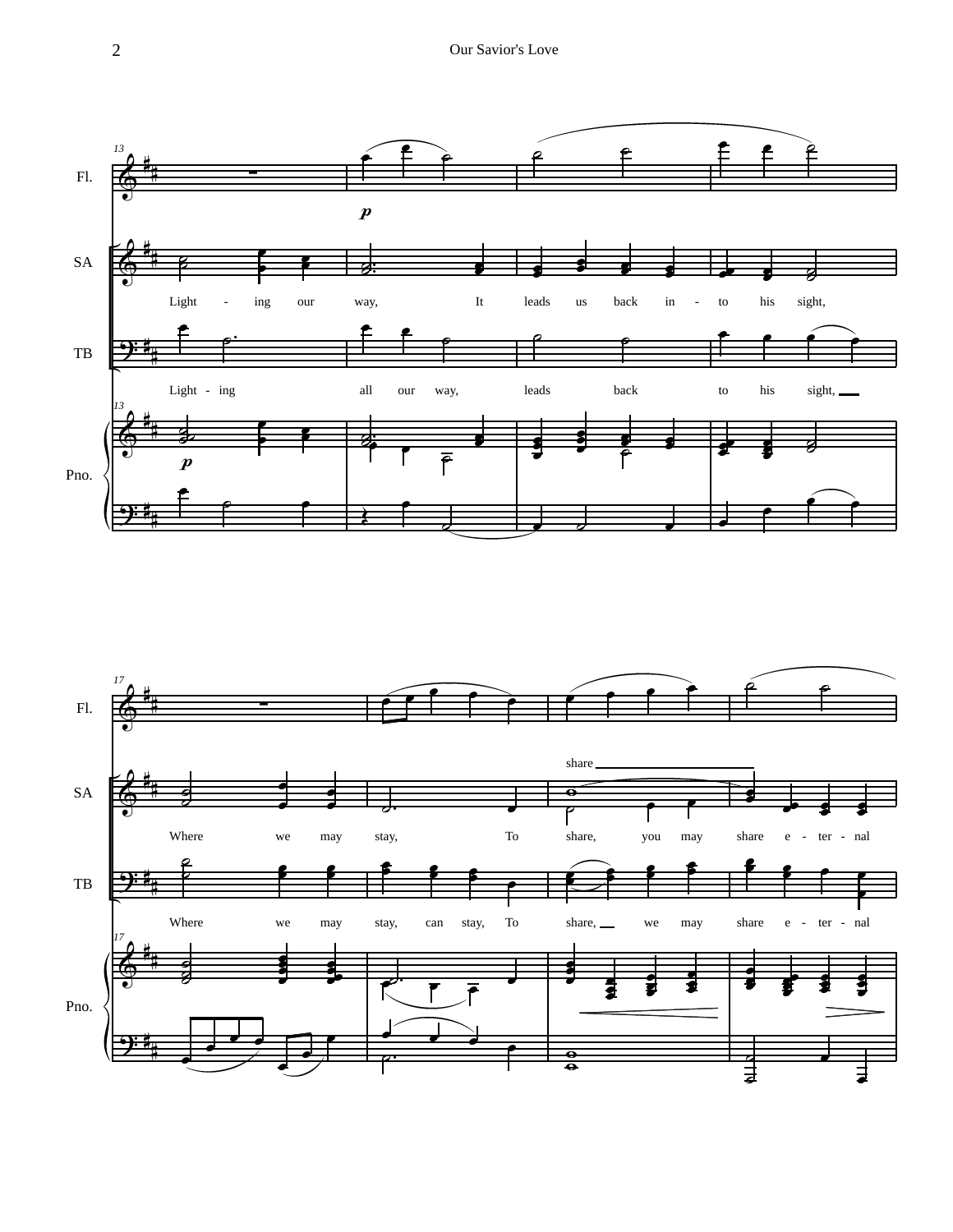

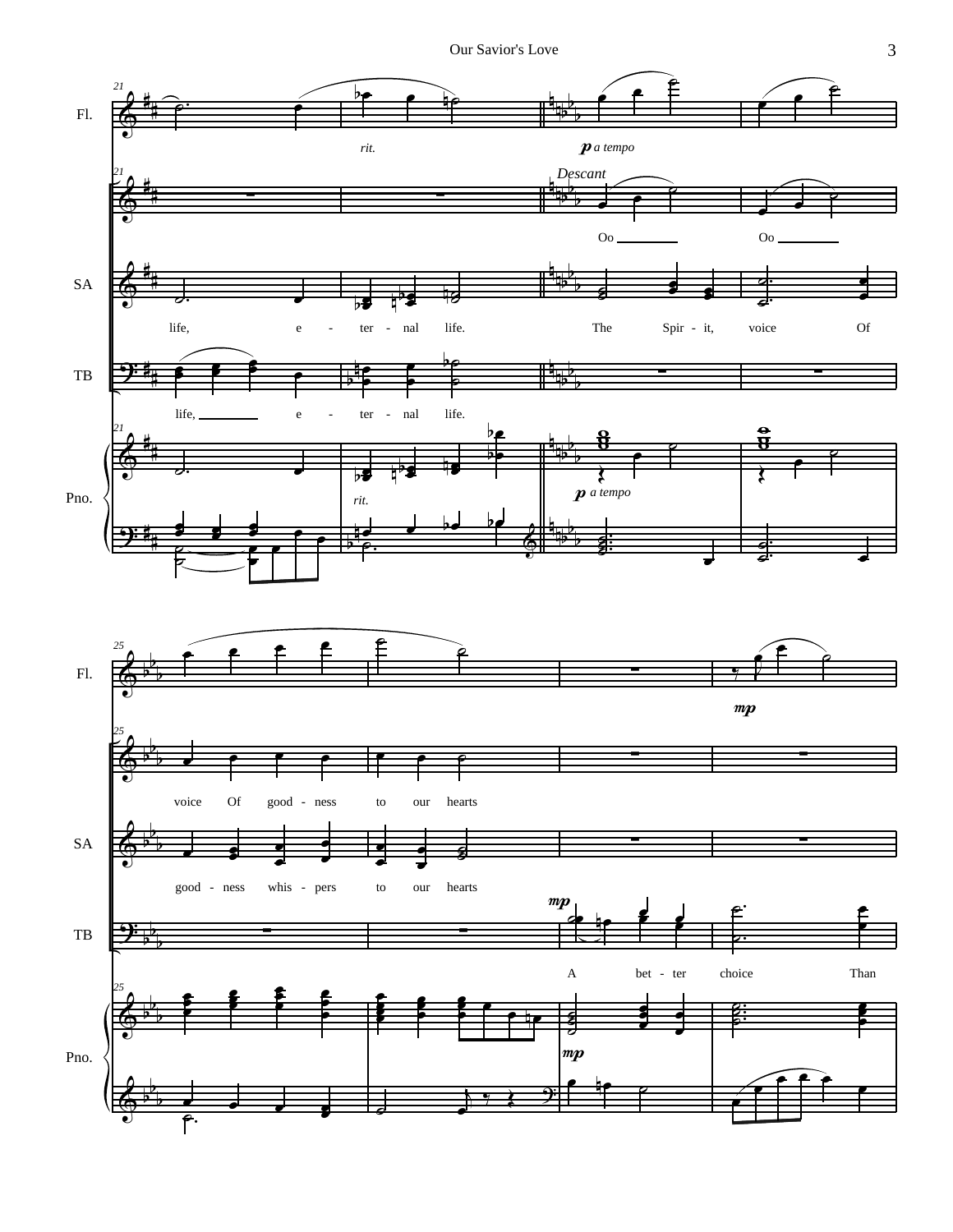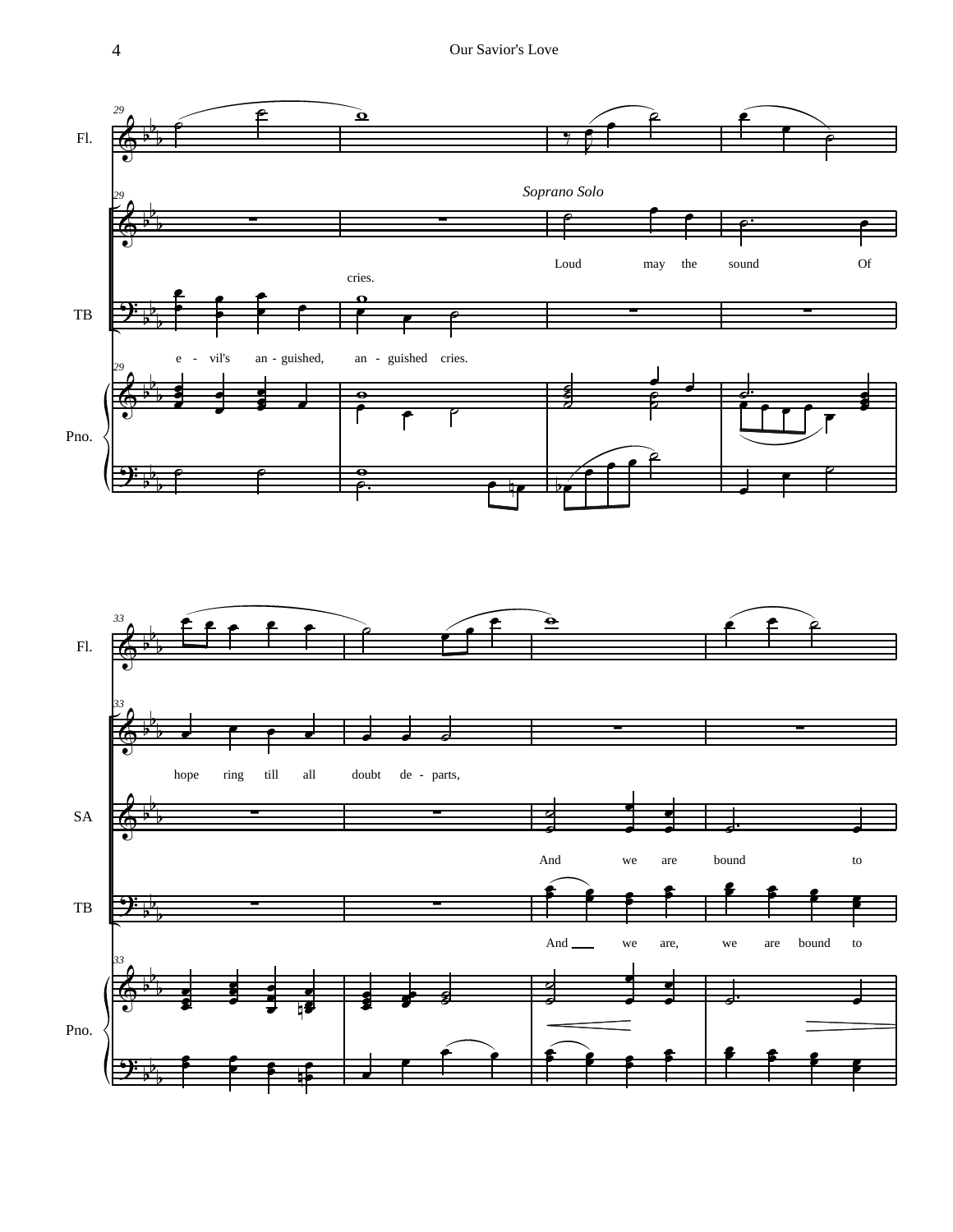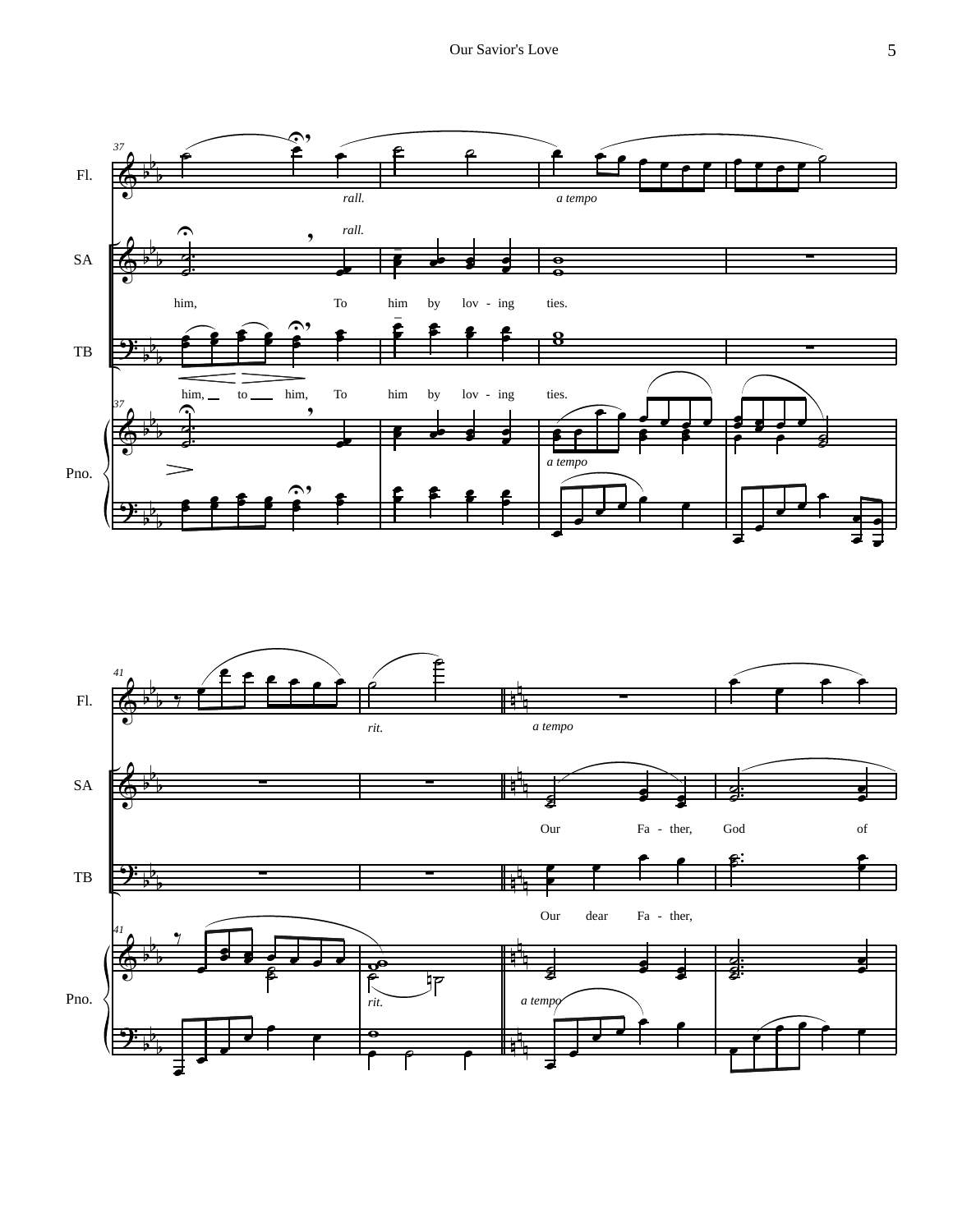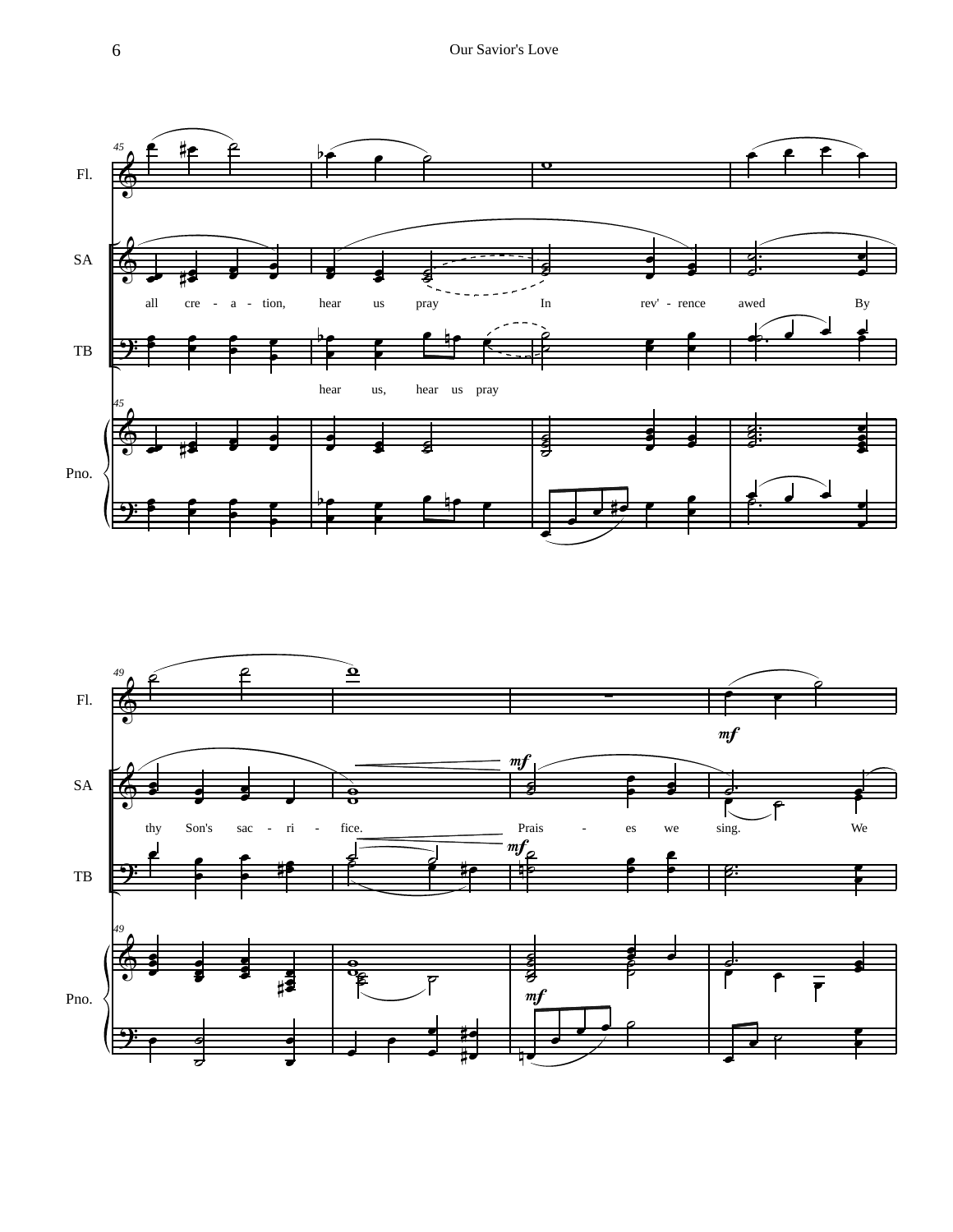

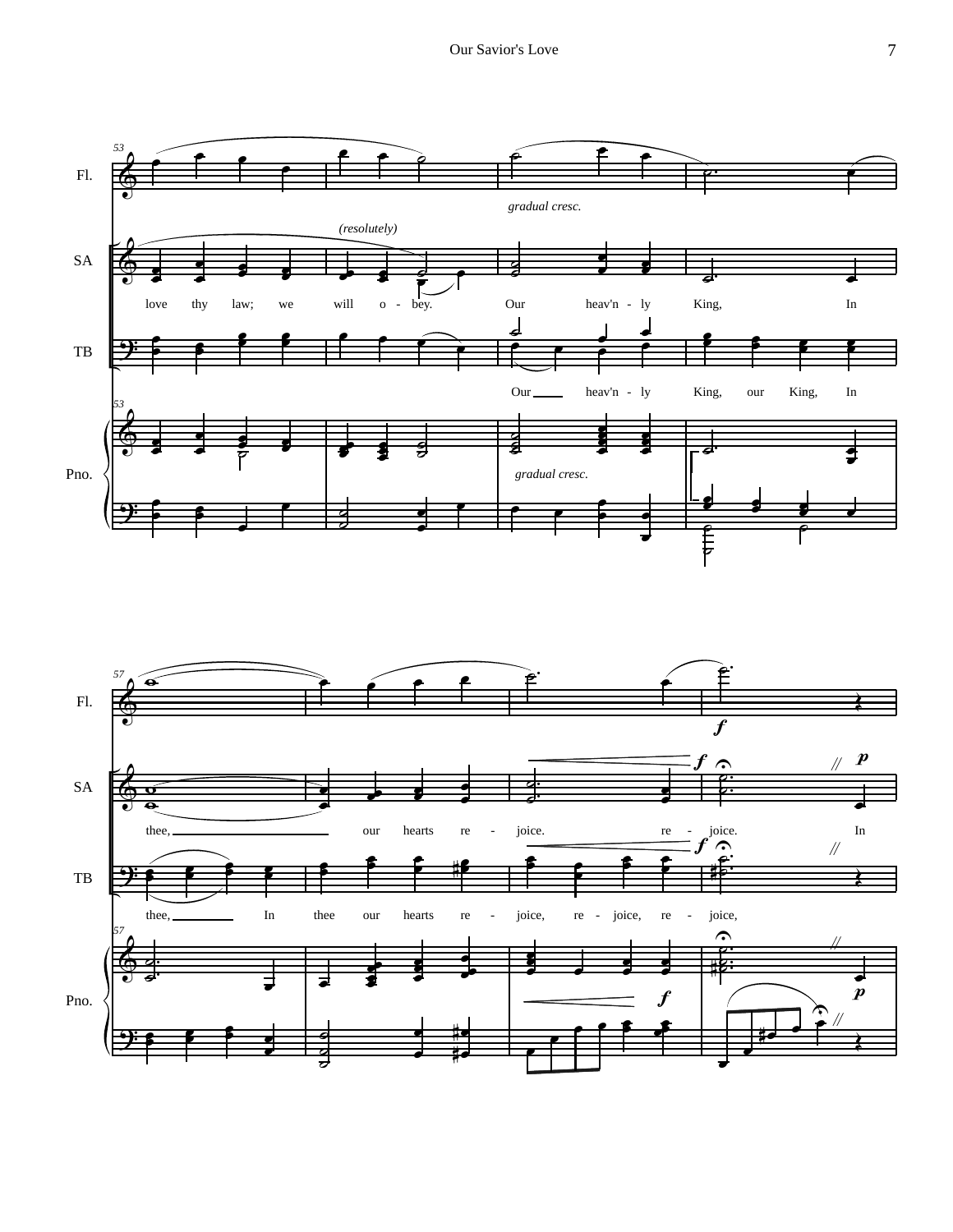

˙